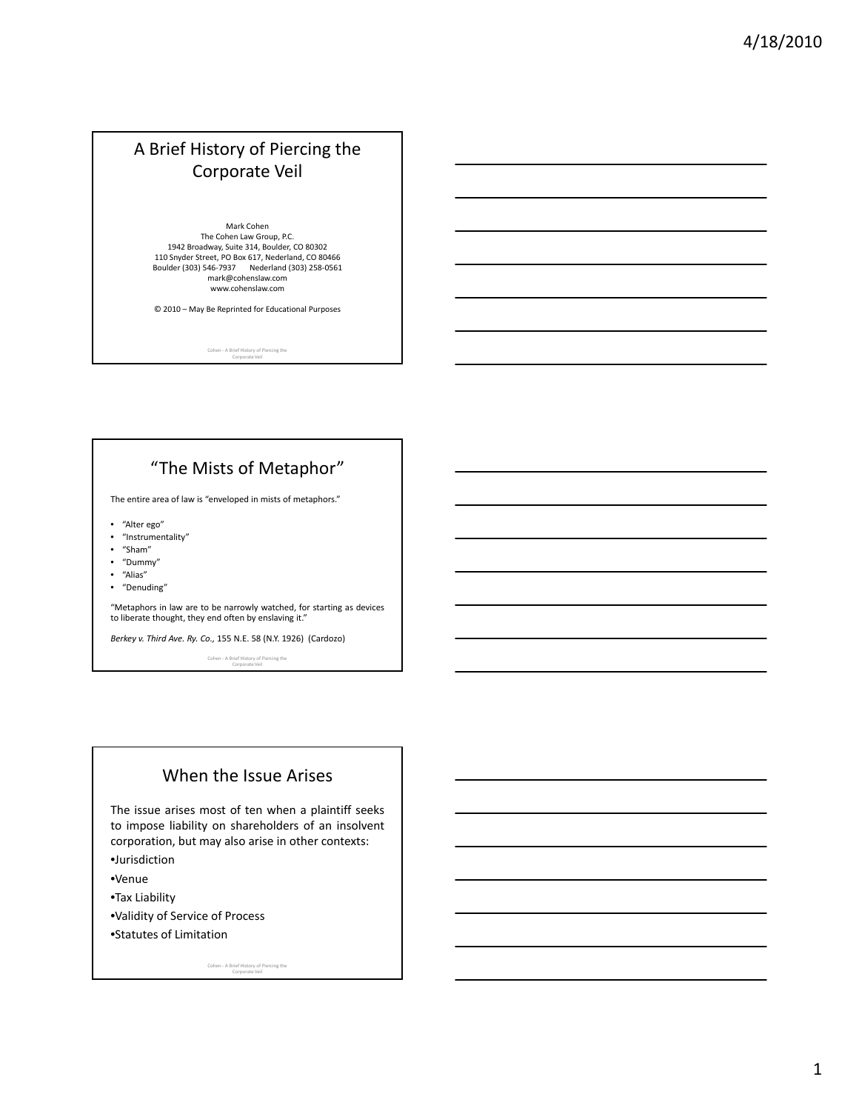# A Brief History of Piercing the Corporate Veil

Mark Cohen The Cohen Law Group, P.C. 1942 Broadway, Suite 314, Boulder, CO 80302<br>110 Snyder Street, PO Box 617, Nederland, CO 80466<br>Boulder (303) 546-7937 Nederland (303) 258-0561 mark@cohenslaw.com www.cohenslaw.com

© 2010 – May Be Reprinted for Educational Purposes

Cohen ‐ A Brief History of Piercing the Corporate Veil

# "The Mists of Metaphor"

The entire area of law is "enveloped in mists of metaphors."

- "Alter ego"
- "Instrumentality"
- "Sham"
- "Dummy"
- "Alias"
- "Denuding"

"Metaphors in law are to be narrowly watched, for starting as devices to liberate thought, they end often by enslaving it."

*Berkey v. Third Ave. Ry. Co.,* 155 N.E. 58 (N.Y. 1926) (Cardozo)

Cohen ‐ A Brief History of Piercing the Corporate Veil

### When the Issue Arises

The issue arises most of ten when a plaintiff seeks to impose liability on shareholders of an insolvent corporation, but may also arise in other contexts:

- •Jurisdiction
- •Venue
- •Tax Liability
- •Validity of Service of Process
- •Statutes of Limitation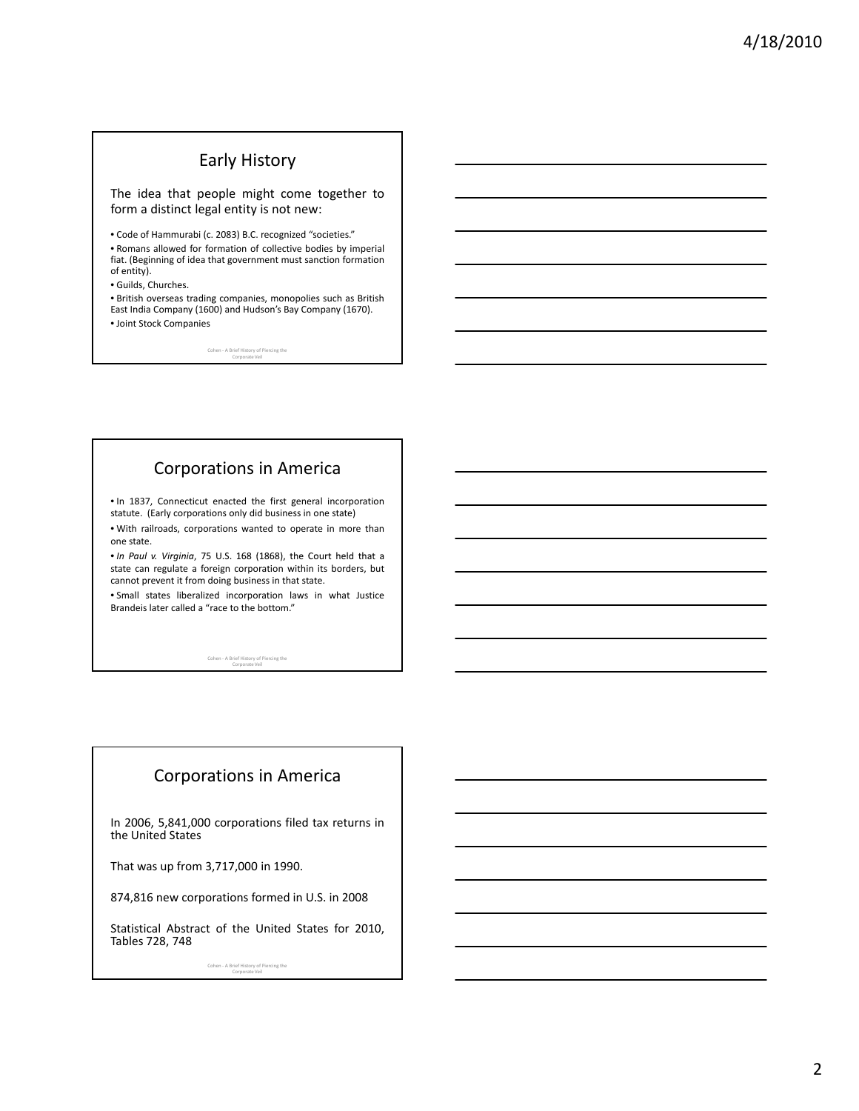#### Early History

The idea that people might come together to form a distinct legal entity is not new:

• Code of Hammurabi (c. 2083) B.C. recognized "societies."

• Romans allowed for formation of collective bodies by imperial fiat. (Beginning of idea that government must sanction formation of entity).

• Guilds, Churches.

• British overseas trading companies, monopolies such as British East India Company (1600) and Hudson's Bay Company (1670). • Joint Stock Companies

Cohen ‐ A Brief History of Piercing the Corporate Veil

### Corporations in America

• In 1837, Connecticut enacted the first general incorporation statute. (Early corporations only did business in one state)

• With railroads, corporations wanted to operate in more than one state.

• *In Paul v. Virginia* , 75 U.S. 168 (1868), the Court held that a state can regulate a foreign corporation within its borders, but cannot prevent it from doing business in that state.

• Small states liberalized incorporation laws in what Justice Brandeis later called a "race to the bottom."

Cohen ‐ A Brief History of Piercing the Corporate Veil

# Corporations in America

In 2006, 5,841,000 corporations filed tax returns in the United States

That was up from 3,717,000 in 1990.

874,816 new corporations formed in U.S. in 2008

Statistical Abstract of the United States for 2010, Tables 728, 748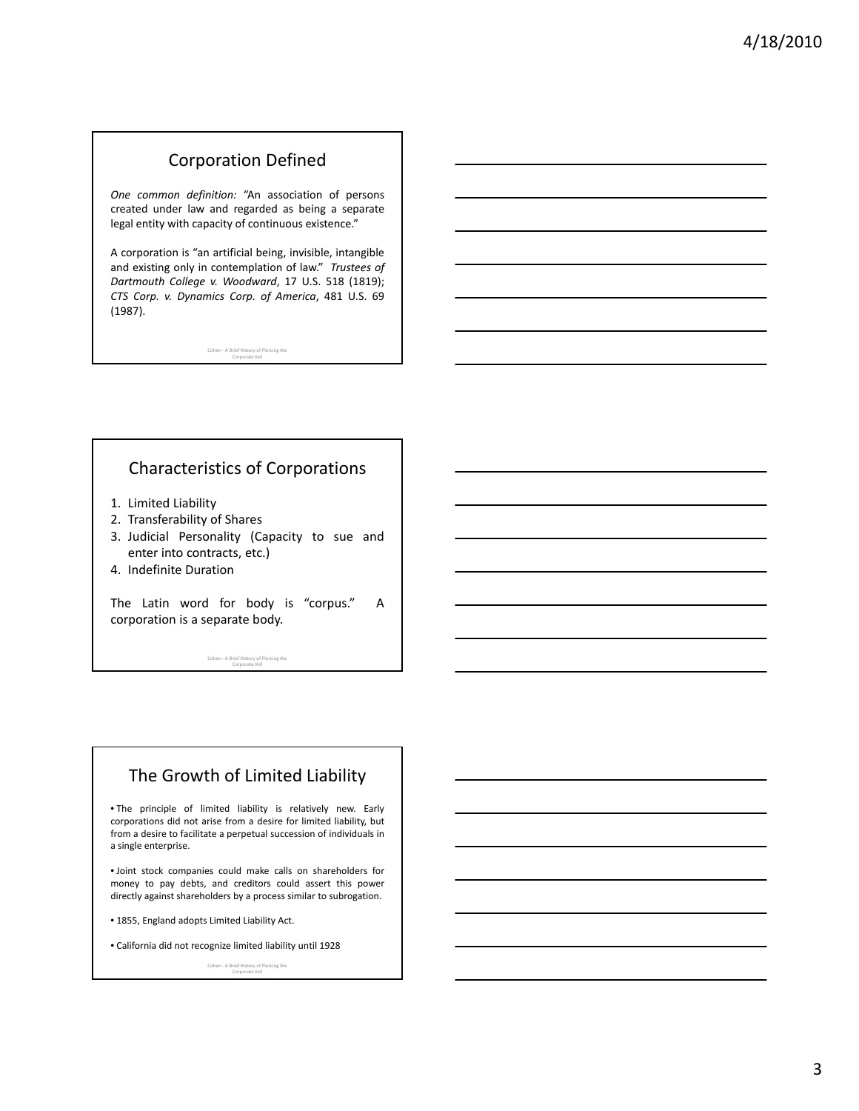## Corporation Defined

*One common definition:* "An association of persons created under law and regarded as being a separate legal entity with capacity of continuous existence."

A corporation is "an artificial being, invisible, intangible and existing only in contemplation of law." *Trustees of Dartmouth College v. Woodward*, 17 U.S. 518 (1819); *CTS Corp. v. Dynamics Corp. of America*, 481 U.S. 69 (1987).

Cohen ‐ A Brief History of Piercing the Corporate Veil

### Characteristics of Corporations

- 1. Limited Liability
- 2. Transferability of Shares
- 3. Judicial Personality (Capacity to sue and enter into contracts, etc.)
- 4. Indefinite Duration

The Latin word for body is "corpus." A corporation is a separate body.

Cohen ‐ A Brief History of Piercing the Corporate Veil

### The Growth of Limited Liability

• The principle of limited liability is relatively new. Early corporations did not arise from a desire for limited liability, but from a desire to facilitate a perpetual succession of individuals in a single enterprise.

• Joint stock companies could make calls on shareholders for money to pay debts, and creditors could assert this power directly against shareholders by a process similar to subrogation.

• 1855, England adopts Limited Liability Act.

• California did not recognize limited liability until 1928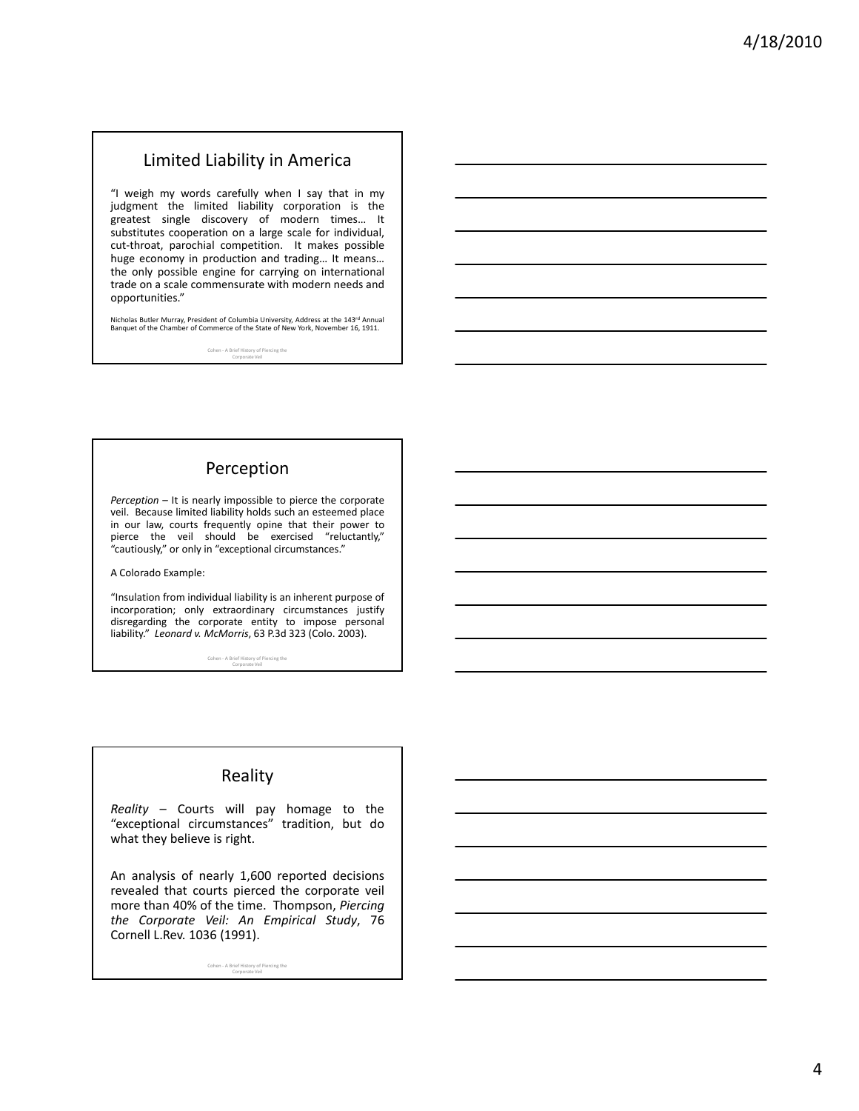### Limited Liability in America

"I weigh my words carefully when I say that in my judgment the limited liability corporation is the greatest single discovery of modern times… It substitutes cooperation on a large scale for individual, cut-throat, parochial competition. It makes possible huge economy in production and trading… It means… the only possible engine for carrying on international trade on a scale commensurate with modern needs and opportunities."

Nicholas Butler Murray, President of Columbia University, Address at the 143<sup>rd</sup> Annual Banquet of the Chamber of Commerce of the State of New York, November 16, 1911.

Cohen ‐ A Brief History of Piercing the Corporate Veil

# Perception

*Perception* – It is nearly impossible to pierce the corporate veil. Because limited liability holds such an esteemed place in our law, courts frequently opine that their power to pierce the veil should be exercised "reluctantly," "cautiously," or only in "exceptional circumstances."

A Colorado Example:

"Insulation from individual liability is an inherent purpose of incorporation; only extraordinary circumstances justify disregarding the corporate entity to impose personal liability." *Leonard v. McMorris*, 63 P.3d 323 (Colo. 2003).

Cohen ‐ A Brief History of Piercing the Corporate Veil

### Reality

*Reality* – Courts will pay homage to the "exceptional circumstances" tradition, but do what they believe is right.

An analysis of nearly 1,600 reported decisions revealed that courts pierced the corporate veil more than 40% of the time. Thompson, *Piercing the Corporate Veil: An Empirical Study*, 76 Cornell L.Rev. 1036 (1991).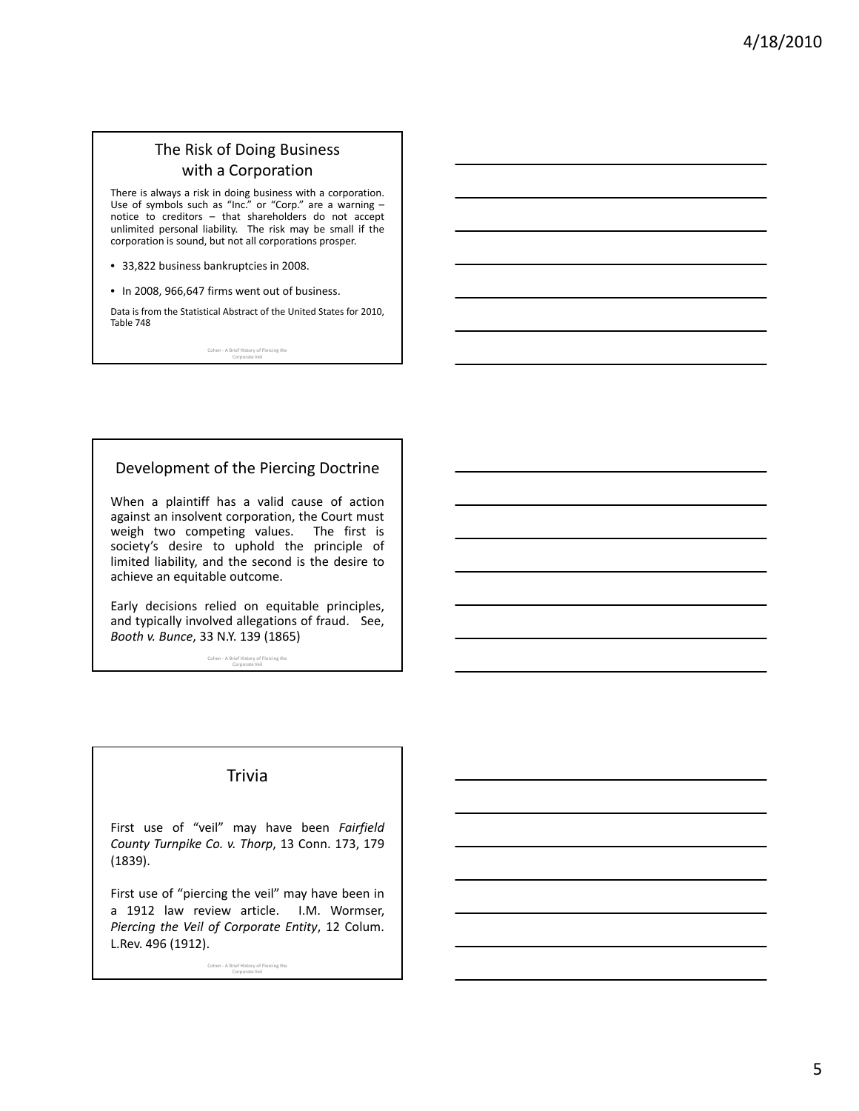### The Risk of Doing Business with a Corporation

There is always a risk in doing business with a corporation. Use of symbols such as "Inc." or "Corp." are a warning – notice to creditors – that shareholders do not accept unlimited personal liability. The risk may be small if the corporation is sound, but not all corporations prosper.

- 33,822 business bankruptcies in 2008.
- In 2008, 966,647 firms went out of business.

Data is from the Statistical Abstract of the United States for 2010, Table 748

Cohen ‐ A Brief History of Piercing the Corporate Veil

#### Development of the Piercing Doctrine

When a plaintiff has a valid cause of action against an insolvent corporation, the Court must weigh two competing values. The first is society's desire to uphold the principle of limited liability, and the second is the desire to achieve an equitable outcome.

Early decisions relied on equitable principles, and typically involved allegations of fraud. See, *Booth v. Bunce*, 33 N.Y. 139 (1865)

Cohen ‐ A Brief History of Piercing the Corporate Veil

#### **Trivia**

First use of "veil" may have been *Fairfield County Turnpike Co. v. Thorp*, 13 Conn. 173, 179 (1839).

First use of "piercing the veil" may have been in a 1912 law review article. I.M. Wormser, *Piercing the Veil of Corporate Entity*, 12 Colum. L.Rev. 496 (1912).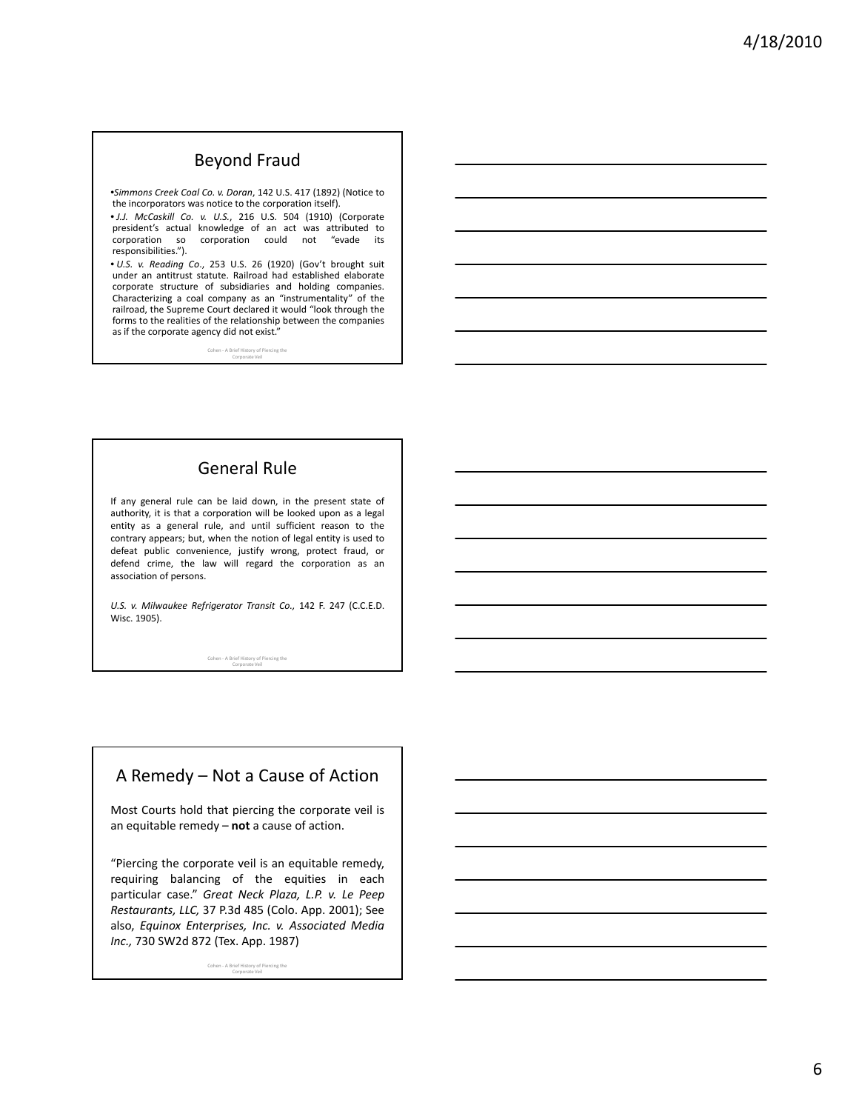# Beyond Fraud

•*Simmons Creek Coal Co. v. Doran*, 142 U.S. 417 (1892) (Notice to the incorporators was notice to the corporation itself).

• *J.J. McCaskill Co. v. U.S.*, 216 U.S. 504 (1910) (Corporate president's actual knowledge of an act was attributed to corporation so corporation could not "evade its responsibilities.").

• *U.S. v. Reading Co*., 253 U.S. 26 (1920) (Gov't brought suit under an antitrust statute. Railroad had established elaborate corporate structure of subsidiaries and holding companies. Characterizing a coal company as an "instrumentality" of the railroad, the Supreme Court declared it would "look through the forms to the realities of the relationship between the companies as if the corporate agency did not exist."

> Cohen - A Brief Hi Corporate Veil

# General Rule

If any general rule can be laid down, in the present state of authority, it is that a corporation will be looked upon as a legal entity as a general rule, and until sufficient reason to the contrary appears; but, when the notion of legal entity is used to defeat public convenience, justify wrong, protect fraud, or defend crime, the law will regard the corporation as an association of persons.

*U.S. v. Milwaukee Refrigerator Transit Co.,* 142 F. 247 (C.C.E.D. Wisc. 1905).

Cohen ‐ A Brief History of Piercing the Corporate Veil

# A Remedy – Not a Cause of Action

Most Courts hold that piercing the corporate veil is an equitable remedy – **not** a cause of action.

"Piercing the corporate veil is an equitable remedy, requiring balancing of the equities in each particular case." *Great Neck Plaza, L.P. v. Le Peep Restaurants, LLC,* 37 P.3d 485 (Colo. App. 2001); See also, *Equinox Enterprises, Inc. v. Associated Media Inc.,* 730 SW2d 872 (Tex. App. 1987)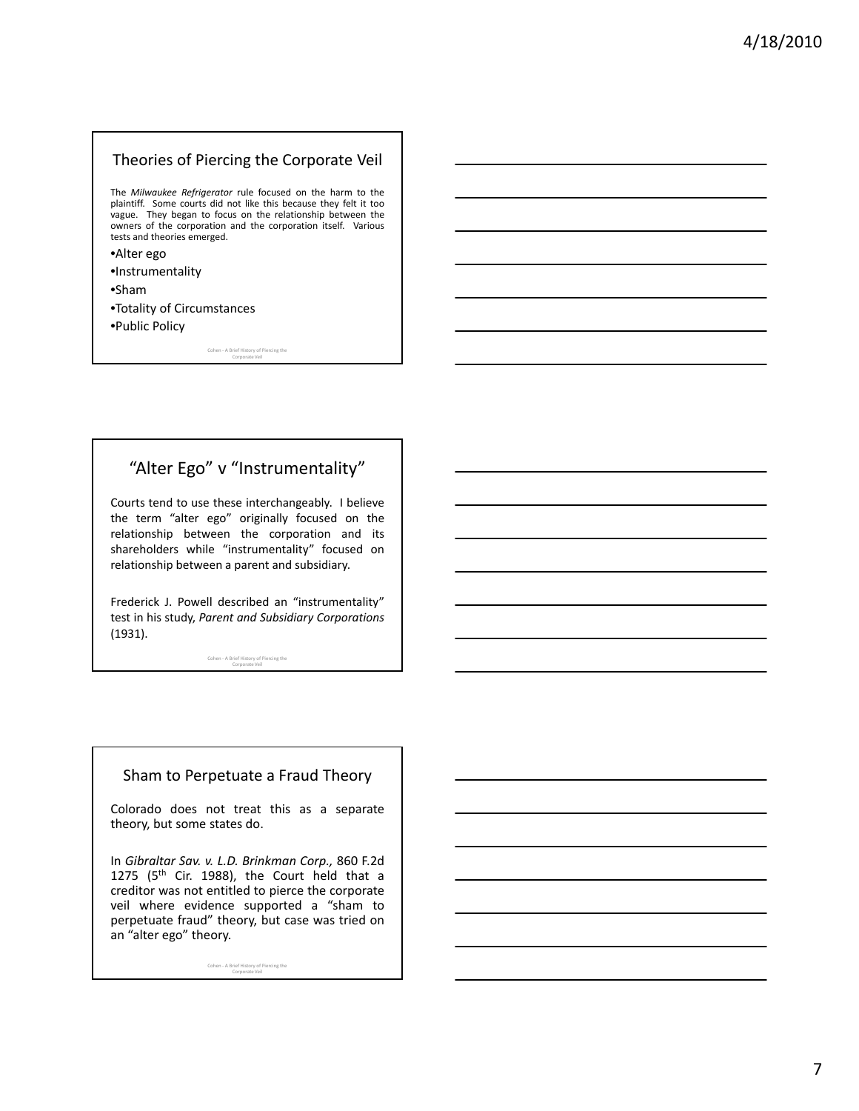#### Theories of Piercing the Corporate Veil

The *Milwaukee Refrigerator* rule focused on the harm to the plaintiff. Some courts did not like this because they felt it too vague. They began to focus on the relationship between the owners of the corporation and the corporation itself. Various tests and theories emerged.

- •Alter ego
- •Instrumentality
- •Sham
- •Totality of Circumstances
- •Public Policy

Cohen ‐ A Brief History of Piercing the Corporate Veil

# "Alter Ego" v "Instrumentality"

Courts tend to use these interchangeably. I believe the term "alter ego" originally focused on the relationship between the corporation and its shareholders while "instrumentality" focused on relationship between a parent and subsidiary.

Frederick J. Powell described an "instrumentality" test in his study, *Parent and Subsidiary Corporations* (1931).

Cohen ‐ A Brief History of Piercing the Corporate Veil

#### Sham to Perpetuate a Fraud Theory

Colorado does not treat this as a separate theory, but some states do.

In *Gibraltar Sav. v. L.D. Brinkman Corp.,* 860 F.2d 1275 ( $5<sup>th</sup>$  Cir. 1988), the Court held that a creditor was not entitled to pierce the corporate veil where evidence supported a "sham to perpetuate fraud" theory, but case was tried on an "alter ego" theory.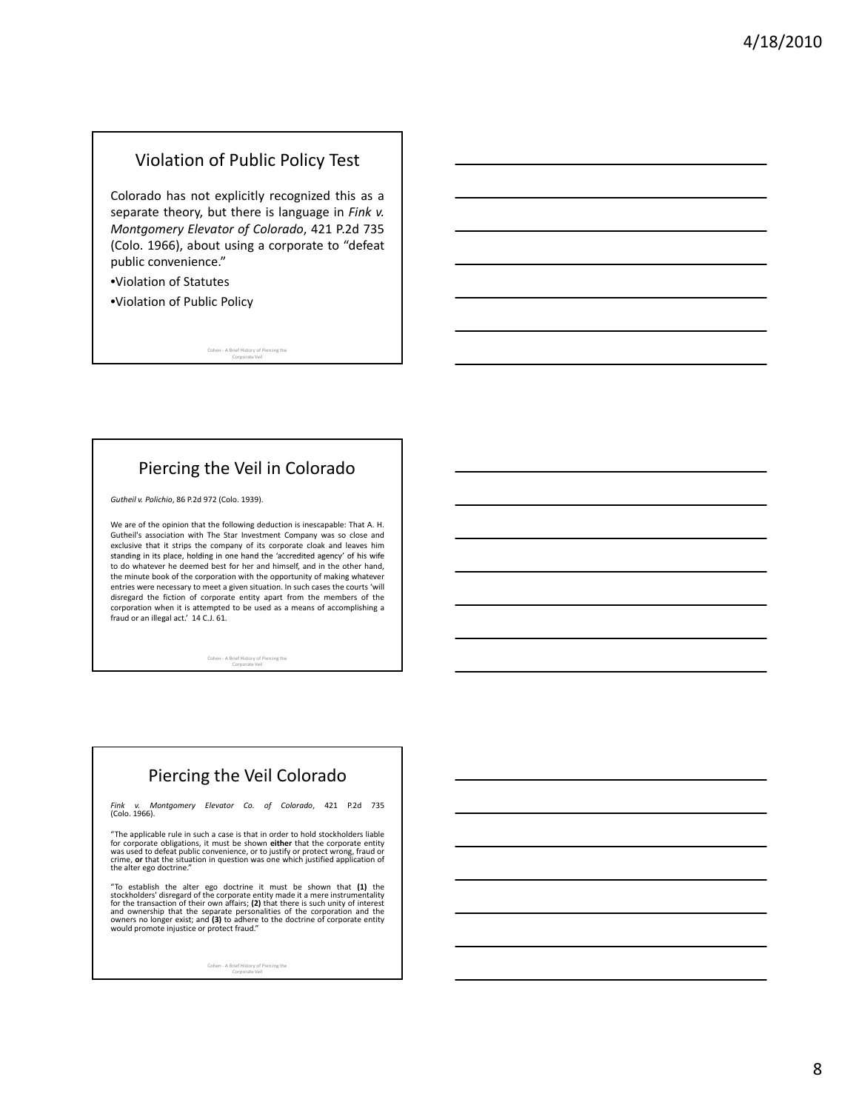#### Violation of Public Policy Test

Colorado has not explicitly recognized this as a separate theory, but there is language in *Fink v. Montgomery Elevator of Colorado*, 421 P.2d 735 (Colo. 1966), about using a corporate to "defeat public convenience."

•Violation of Statutes

•Violation of Public Policy

Cohen ‐ A Brief History of Piercing the Corporate Veil

# Piercing the Veil in Colorado

*Gutheil v. Polichio*, 86 P.2d 972 (Colo. 1939).

We are of the opinion that the following deduction is inescapable: That A. H. Gutheil's association with The Star Investment Company was so close and exclusive that it strips the company of its corporate cloak and leaves him standing in its place, holding in one hand the 'accredited agency' of his wife to do whatever he deemed best for her and himself, and in the other hand, the minute book of the corporation with the opportunity of making whatever entries were necessary to meet a given situation. In such cases the courts 'will disregard the fiction of corporate entity apart from the members of the corporation when it is attempted to be used as a means of accomplishing a fraud or an illegal act.' 14 C.J. 61.

Cohen ‐ A Brief History of Piercing the Corporate Veil

# Piercing the Veil Colorado

*Fink v. Montgomery Elevator Co. of Colorado*, 421 P.2d 735 (Colo. 1966).

"The applicable rule in such a case is that in order to hold stockholders liable for corporate obligations, it must be shown **either** that the corporate entity<br>was used to defeat public convenience, or to justify or protect wrong, fraud or<br>crime, **or** that the situation in question was one which justif

"To establish the alter ego doctrine it must be shown that  $(1)$  the stockholders' disregard of the corporate entity made it a mere instrumentality for the transaction of their cow affairs;  $(2)$  that there is such unity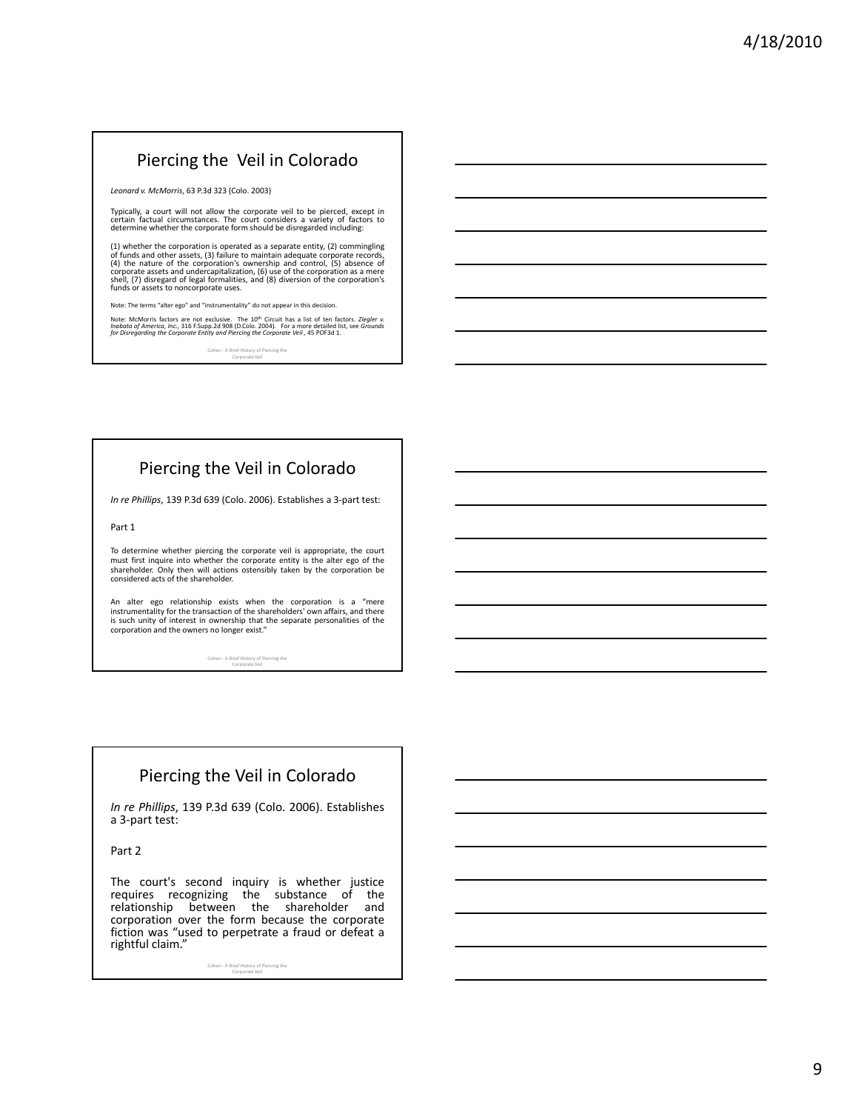# Piercing the Veil in Colorado

*Leonard v. McMorris*, 63 P.3d 323 (Colo. 2003)

Typically, a court will not allow the corporate veil to be pierced, except in certain factual circumstances. The court considers a variety of factors to determine whether the corporate form should be disregarded including:

(1) whether the corporation is operated as a separate entity, (2) commingling<br>of funds and other assets, (3) failure to maintain adequate corporate records,<br>(4) the nature of the corporation's ownership and control, (5) a

Note: The terms "alter ego" and "instrumentality" do not appear in this decision.

Note: McMorris factors are not exclusive. The 10<sup>th</sup> Circuit has a list of ten factors. Ziegler v.<br>Inabata of America, Inc., 316 F.Supp.2d 908 [D.Colo. 2004]. For a more detailed list, see Grounds<br>for Disregarding the Corp

Cohen ‐ A Brief History of Piercing the Corporate Veil

# Piercing the Veil in Colorado

*In re Phillips*, 139 P.3d 639 (Colo. 2006). Establishes a 3‐part test:

Part 1

To determine whether piercing the corporate veil is appropriate, the court<br>must first inquire into whether the corporate entity is the alter ego of the shareholder. Only then will actions ostensibly taken by the corporation be considered acts of the shareholder.

An alter ego relationship exists when the corporation is a "mere instrumentality for the transaction of the shareholders' own affairs, and there is such unity of interest in ownership that the separate personalities of the corporation and the owners no longer exist."

Cohen ‐ A Brief History of Piercing the Corporate Veil

# Piercing the Veil in Colorado

*In re Phillips*, 139 P.3d 639 (Colo. 2006). Establishes a 3‐part test:

Part 2

The court's second inquiry is whether justice requires recognizing the substance of the relationship between the shareholder and corporation over the form because the corporate fiction was "used to perpetrate a fraud or defeat a rightful claim."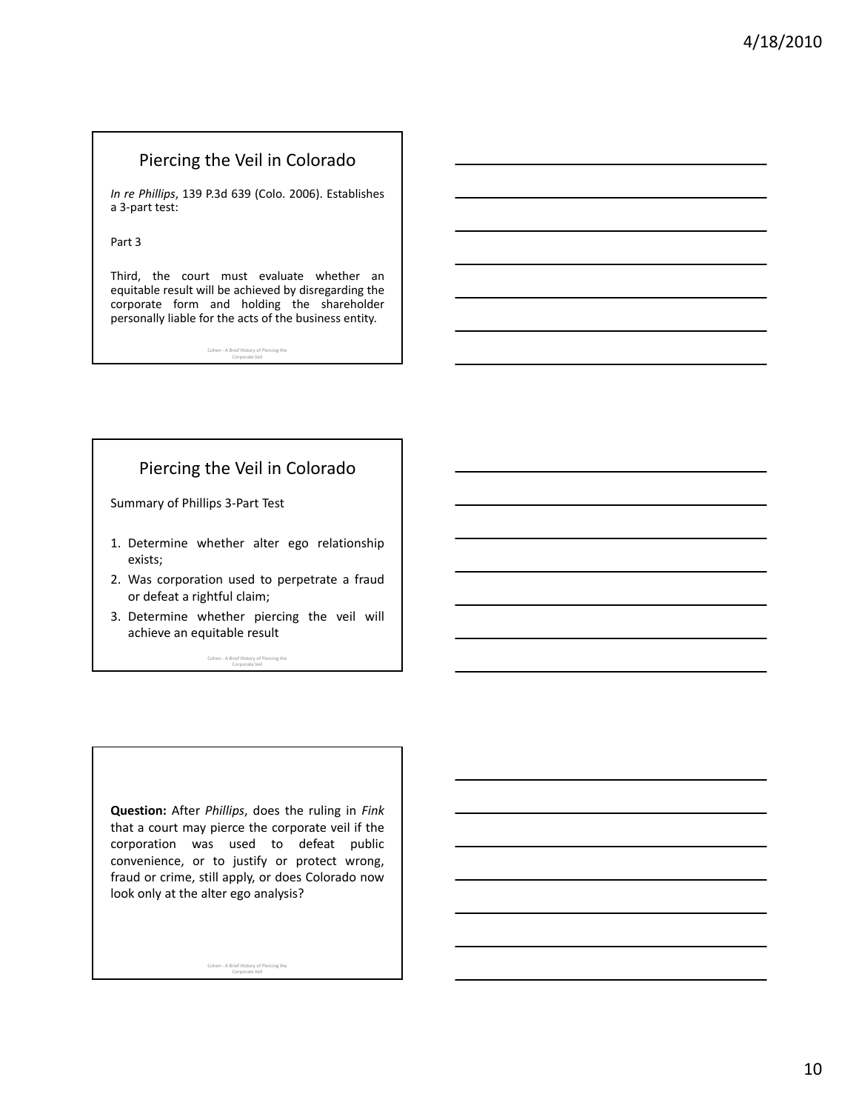### Piercing the Veil in Colorado

*In re Phillips*, 139 P.3d 639 (Colo. 2006). Establishes a 3‐part test:

Part 3

Third, the court must evaluate whether an equitable result will be achieved by disregarding the corporate form and holding the shareholder personally liable for the acts of the business entity.

Cohen ‐ A Brief History of Piercing the Corporate Veil

# Piercing the Veil in Colorado

Summary of Phillips 3‐Part Test

- 1. Determine whether alter ego relationship exists;
- 2. Was corporation used to perpetrate a fraud or defeat a rightful claim;
- 3. Determine whether piercing the veil will achieve an equitable result

Cohen ‐ A Brief History of Piercing the Corporate Veil

**Question:** After *Phillips*, does the ruling in *Fink* that a court may pierce the corporate veil if the corporation was used to defeat public convenience, or to justify or protect wrong, fraud or crime, still apply, or does Colorado now look only at the alter ego analysis?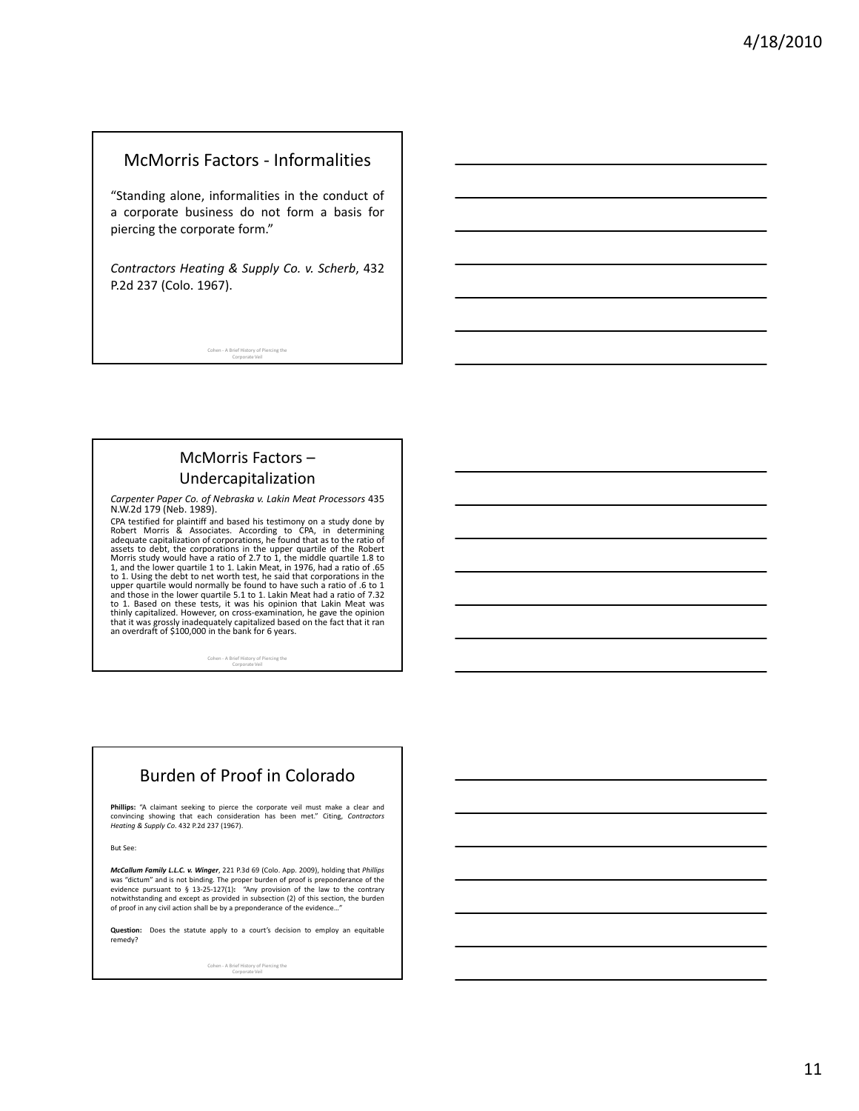#### McMorris Factors ‐ Informalities

"Standing alone, informalities in the conduct of a corporate business do not form a basis for piercing the corporate form."

*Contractors Heating & Supply Co. v. Scherb*, 432 P.2d 237 (Colo. 1967).

Cohen ‐ A Brief History of Piercing the Corporate Veil

### McMorris Factors – Undercapitalization

*Carpenter Paper Co. of Nebraska v. Lakin Meat Processors* 435 N.W.2d 179 (Neb. 1989).

CPA testified for plaintiff and based his testimony on a study done by Robert Morris & Associates. According to CPA, in determining adequate capitalization of corporations, he found that as to the ratio of assets to debt, the corporations in the upper quartile of the Robert<br>Morris study would have a ratio of 2.7 to 1, the middle quartile 1.8 to<br>1, and the lower quartile 1 to 1. Lakin Meat, in 1976, had a ratio of .65 to 1. Using the debt to net worth test, he said that corporations in the upper quartile would normally be found to have such a ratio of .6 to 1<br>and those in the lower quartile 5.1 to 1. Lakin Meat had a ratio of 7.32<br>to 1. Based on these tests, it was his opinion that Lakin Meat was thinly capitalized. However, on cross-examination, he gave the opinion<br>that it was grossly inadequately capitalized based on the fact that it ran<br>an overdraft of \$100,000 in the bank for 6 years.

Cohen ‐ A Brief History of Piercing the Corporate Veil

# Burden of Proof in Colorado

**Phillips:** "A claimant seeking to pierce the corporate veil must make a clear and convincing showing that each consideration has been met." Citing, *Contractors Heating & Supply Co*. 432 P.2d 237 (1967).

But See:

*McCallum Family L.L.C. v. Winger*, 221 P.3d 69 (Colo. App. 2009), holding that *Phillips* was "dictum" and is not binding. The proper burden of proof is preponderance of the<br>evidence pursuant to § 13-25-127(1): "Any provision of the law to the contrary<br>notwithstanding and except as provided in subsection (2) of

**Question:** Does the statute apply to a court's decision to employ an equitable remedy?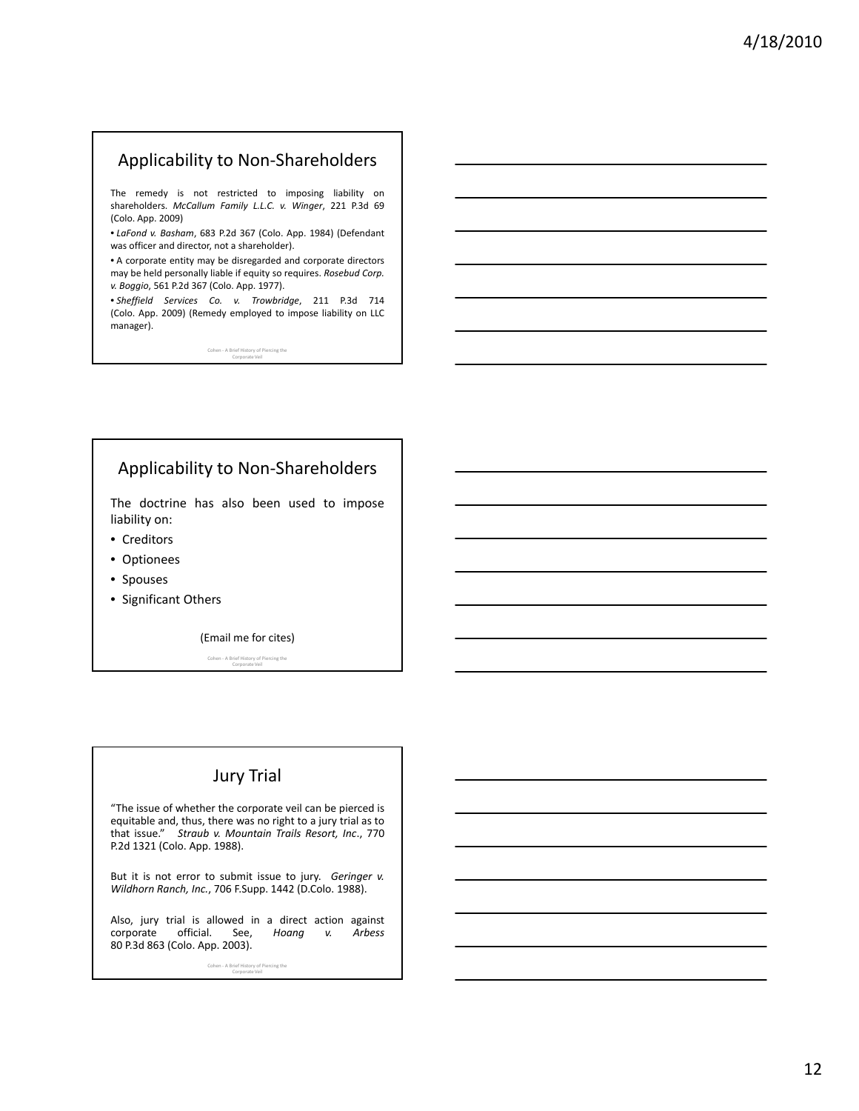# Applicability to Non‐Shareholders

The remedy is not restricted to imposing liability on shareholders. *McCallum Family L.L.C. v. Winger*, 221 P.3d 69 (Colo. App. 2009)

• *LaFond v. Basham*, 683 P.2d 367 (Colo. App. 1984) (Defendant was officer and director, not a shareholder).

• A corporate entity may be disregarded and corporate directors may be held personally liable if equity so requires. *Rosebud Corp. v. Boggio*, 561 P.2d 367 (Colo. App. 1977).

• *Sheffield Services Co. v. Trowbridge*, 211 P.3d 714 (Colo. App. 2009) (Remedy employed to impose liability on LLC manager).

Cohen ‐ A Brief History of Piercing the Corporate Veil

# Applicability to Non‐Shareholders

The doctrine has also been used to impose liability on:

- Creditors
- Optionees
- Spouses
- Significant Others

(Email me for cites)

Cohen ‐ A Brief History of Piercing the Corporate Veil

### Jury Trial

"The issue of whether the corporate veil can be pierced is equitable and, thus, there was no right to a jury trial as to that issue." *Straub v. Mountain Trails Resort, Inc*., 770 P.2d 1321 (Colo. App. 1988).

But it is not error to submit issue to jury. *Geringer v. Wildhorn Ranch, Inc.*, 706 F.Supp. 1442 (D.Colo. 1988).

Also, jury trial is allowed in a direct action against<br>corporate official. See, *Hoang* v. Arbess official. See, 80 P.3d 863 (Colo. App. 2003).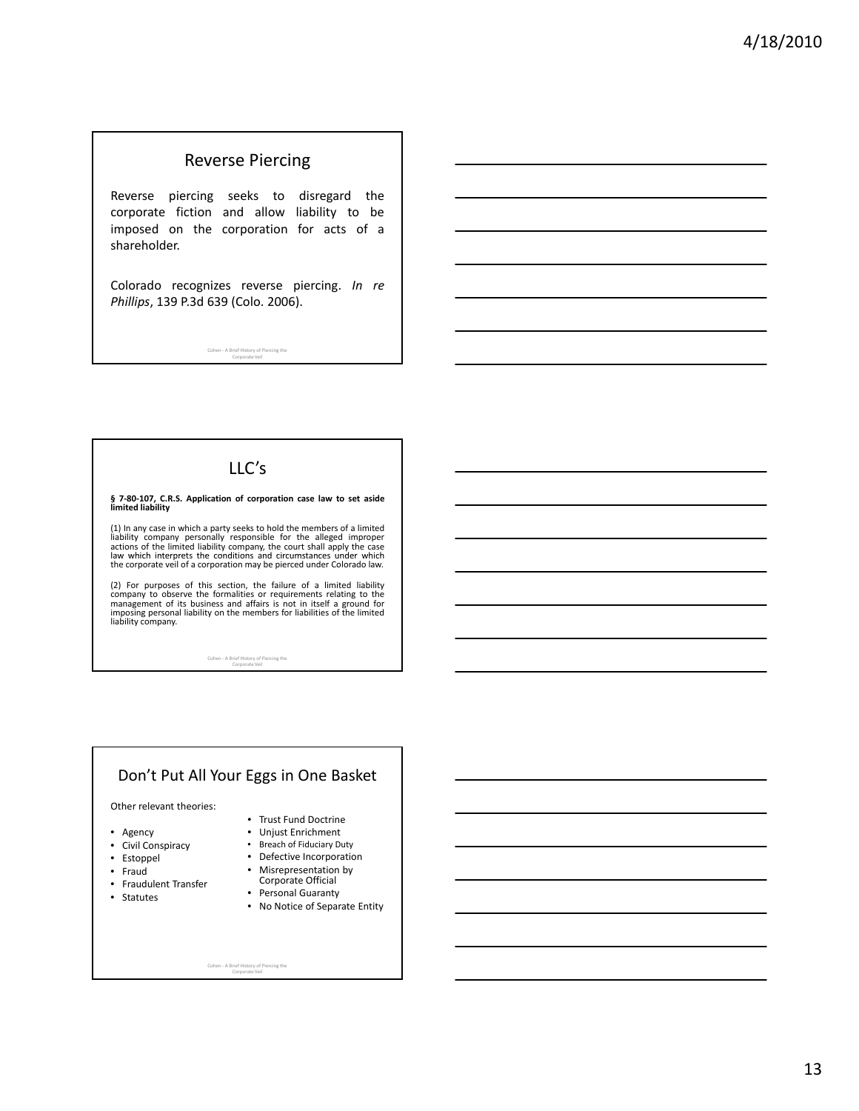#### Reverse Piercing

Reverse piercing seeks to disregard the corporate fiction and allow liability to be imposed on the corporation for acts of a shareholder.

Colorado recognizes reverse piercing. *In re Phillips*, 139 P.3d 639 (Colo. 2006).

Cohen ‐ A Brief History of Piercing the Corporate Veil

# LLC's

### **§ 7‐80‐107, C.R.S. Application of corporation case law to set aside limited liability**

(1) In any case in which a party seeks to hold the members of a limited<br>liability company personally responsible for the alleged improper<br>actions of the limited liability company, the court shall apply the case<br>law which i the corporate veil of a corporation may be pierced under Colorado law.

(2) For purposes of this section, the failure of a limited liability company to observe the formalities or requirements relating to the<br>management of its business and affairs is not in itself a ground for<br>imposing personal liability on the members for liabilities of the limited<br>liability co

Cohen ‐ A Brief History of Piercing the Corporate Veil

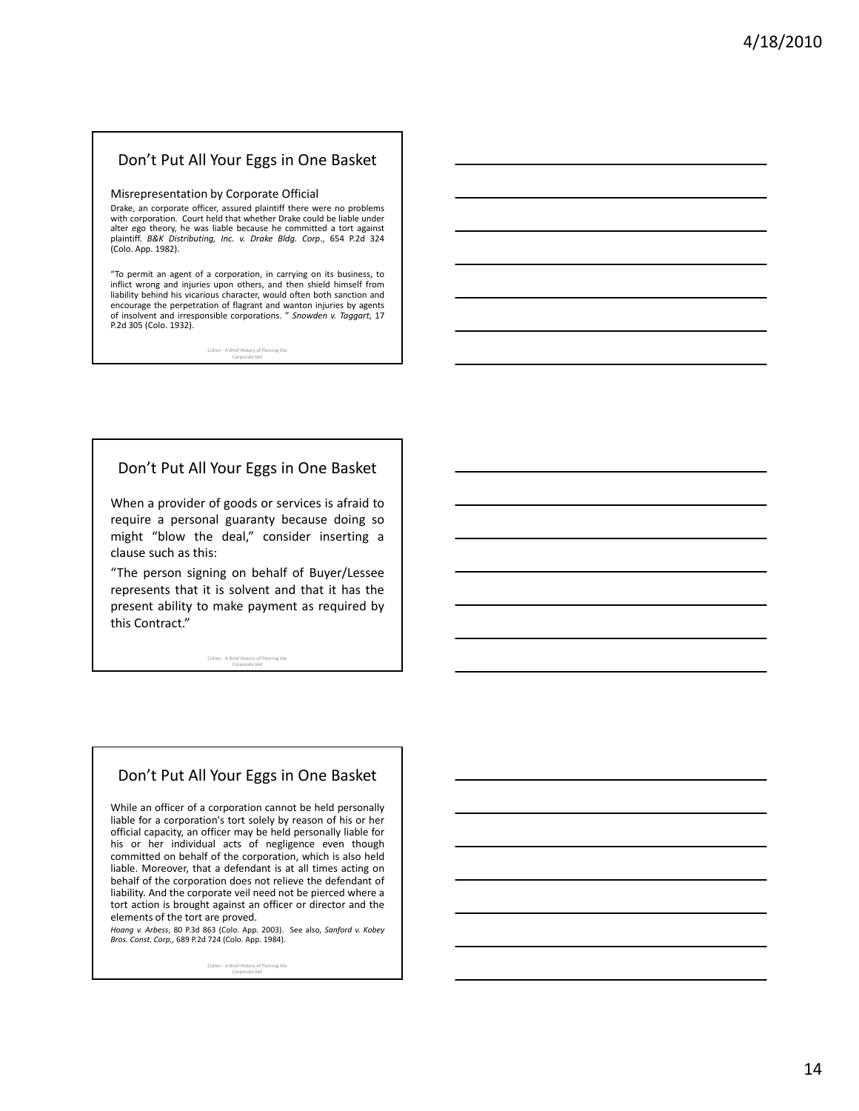#### Don't Put All Your Eggs in One Basket

#### Misrepresentation by Corporate Official

Drake, an corporate officer, assured plaintiff there were no problems with corporation. Court held that whether Drake could be liable under alter ego theory, he was liable because he committed a tort against plaintiff. *B&K Distributing, Inc. v. Drake Bldg. Corp*., 654 P.2d 324 (Colo. App. 1982).

"To permit an agent of a corporation, in carrying on its business, to inflict wrong and injuries upon others, and then shield himself from liability behind his vicarious character, would often both sanction and encourage the perpetration of flagrant and wanton injuries by agents of insolvent and irresponsible corporations. " *Snowden v. Taggart*, 17 P.2d 305 (Colo. 1932).

Cohen ‐ A Brief History of Piercing the Corporate Veil

#### Don't Put All Your Eggs in One Basket

When a provider of goods or services is afraid to require a personal guaranty because doing so might "blow the deal," consider inserting a clause such as this:

"The person signing on behalf of Buyer/Lessee represents that it is solvent and that it has the present ability to make payment as required by this Contract."

Cohen ‐ A Brief History of Piercing the Corporate Veil

#### Don't Put All Your Eggs in One Basket

While an officer of a corporation cannot be held personally liable for a corporation's tort solely by reason of his or her official capacity, an officer may be held personally liable for his or her individual acts of negligence even though committed on behalf of the corporation, which is also held liable. Moreover, that a defendant is at all times acting on behalf of the corporation does not relieve the defendant of liability. And the corporate veil need not be pierced where a tort action is brought against an officer or director and the elements of the tort are proved.

*Hoang v. Arbess*, 80 P.3d 863 (Colo. App. 2003). See also, *Sanford v. Kobey Bros. Const. Corp.,* 689 P.2d 724 (Colo. App. 1984).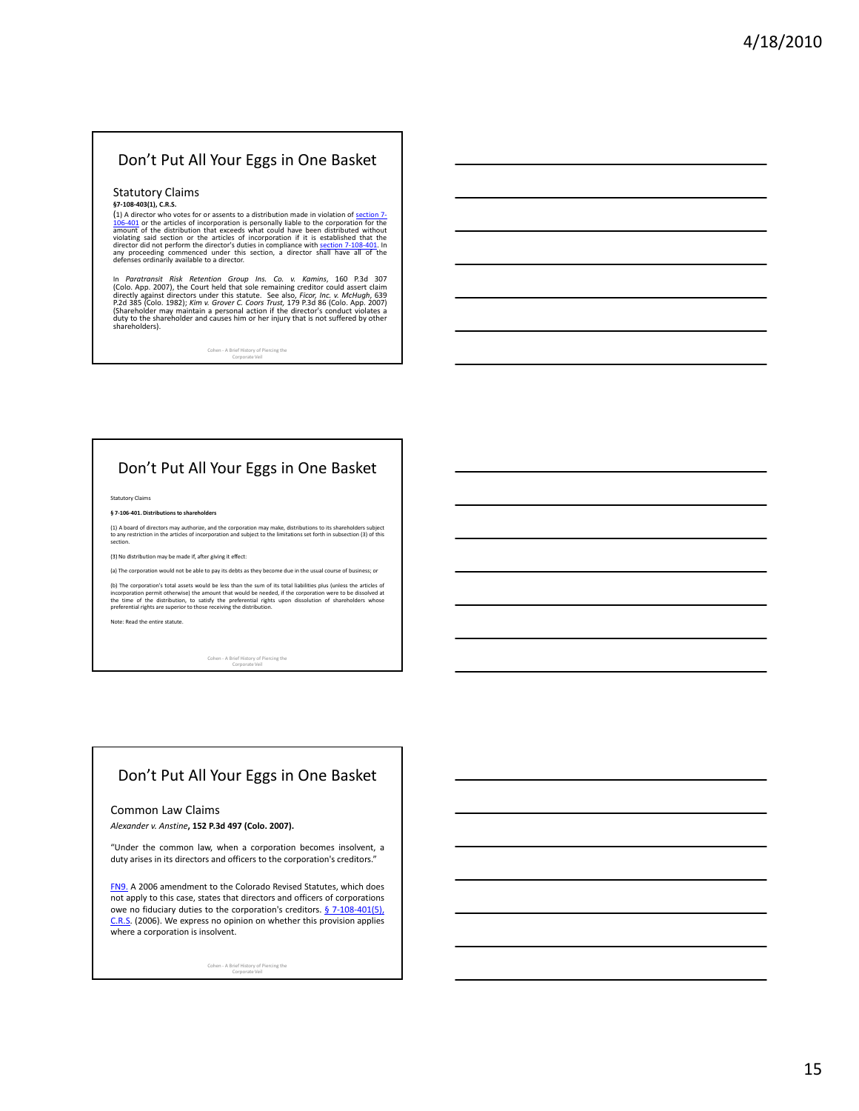#### Don't Put All Your Eggs in One Basket

#### Statutory Claims **§7‐108‐403(1), C.R.S.**

(1) A director who votes for or assents to a distribution made in violation of <u>section 7-106-401</u> or the articles of incorporation is personally liable to the corporation for the distribution that exceeds what could have

In *Paratransit Risk*. Retention Group Ins. Co. v. Kamins, 160 P.3d 307<br>(Colo. App. 2007), the Court held that sole remaining creditor could assert claim<br>directly against directors under this statute. See also, *Ficor, In* 

Cohen ‐ A Brief History of Piercing the Corporate Veil

#### Don't Put All Your Eggs in One Basket

Statutory Claims

**§ 7‐106‐401. Distributions to shareholders**

(1) A board of directors may authorize, and the corporation may make, distributions to its shareholders subject<br>to any restriction in the articles of incorporation and subject to the limitations set forth in subsection (3)

(3) No distribution may be made if, after giving it effect:

(a) The corporation would not be able to pay its debts as they become due in the usual course of business; or

(b) The corporation's total assets would be less than the sum of its total liabilities plus (unless the articles of<br>incorporation permit otherwise) the amount that would be needed, if the corporation were to be dissolved a

Note: Read the entire statute.

Cohen ‐ A Brief History of Piercing the Corporate Veil

#### Don't Put All Your Eggs in One Basket

#### Common Law Claims

*Alexander v. Anstine***, 152 P.3d 497 (Colo. 2007).**

"Under the common law, when a corporation becomes insolvent, a duty arises in its directors and officers to the corporation's creditors."

FN9. A 2006 amendment to the Colorado Revised Statutes, which does not apply to this case, states that directors and officers of corporations owe no fiduciary duties to the corporation's creditors. § 7-108-401(5), C.R.S. (2006). We express no opinion on whether this provision applies where a corporation is insolvent.